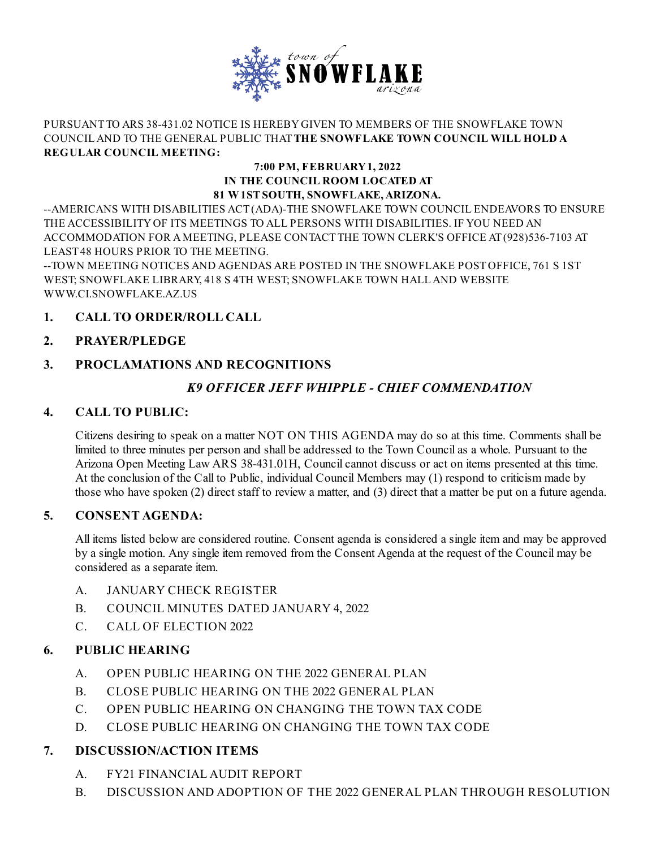

#### PURSUANT TO ARS 38-431.02 NOTICE IS HEREBYGIVEN TO MEMBERS OF THE SNOWFLAKE TOWN COUNCILAND TO THE GENERAL PUBLIC THAT**THE SNOWFLAKE TOWN COUNCIL WILL HOLD A REGULAR COUNCIL MEETING:**

#### **7:00 PM, FEBRUARY1, 2022 IN THE COUNCIL ROOM LOCATED AT 81 W1STSOUTH, SNOWFLAKE,ARIZONA.**

--AMERICANS WITH DISABILITIES ACT(ADA)-THE SNOWFLAKE TOWN COUNCIL ENDEAVORS TO ENSURE THE ACCESSIBILITYOF ITS MEETINGS TO ALL PERSONS WITH DISABILITIES. IF YOU NEED AN ACCOMMODATION FOR AMEETING, PLEASE CONTACT THE TOWN CLERK'S OFFICE AT(928)536-7103 AT LEAST48 HOURS PRIOR TO THE MEETING.

--TOWN MEETING NOTICES AND AGENDAS ARE POSTED IN THE SNOWFLAKE POSTOFFICE, 761 S 1ST WEST; SNOWFLAKE LIBRARY, 418 S 4TH WEST; SNOWFLAKE TOWN HALLAND WEBSITE [WWW.CI.SNOWFLAKE.AZ.US](http://www.ci.snowflake.az.us)

## **1. CALL TO ORDER/ROLL CALL**

## **2. PRAYER/PLEDGE**

# **3. PROCLAMATIONS AND RECOGNITIONS**

# *K9 OFFICER JEFF WHIPPLE - CHIEF [COMMENDATION](file:///C:/Windows/TEMP/CoverSheet.aspx?ItemID=576&MeetingID=62)*

#### **4. CALL TO PUBLIC:**

Citizens desiring to speak on a matter NOT ON THIS AGENDA may do so at this time. Comments shall be limited to three minutes per person and shall be addressed to the Town Councilas a whole. Pursuant to the Arizona Open Meeting Law ARS 38-431.01H, Council cannot discuss or act on items presented at this time. At the conclusion of the Call to Public, individual Council Members may (1) respond to criticism made by those who have spoken (2) direct staff to review a matter, and (3) direct that a matter be put on a future agenda.

#### **5. CONSENT AGENDA:**

All items listed below are considered routine. Consent agenda is considered a single item and may be approved by a single motion. Any single item removed from the Consent Agenda at the request of the Council may be considered as a separate item.

- A. JANUARY CHECK [REGISTER](file:///C:/Windows/TEMP/CoverSheet.aspx?ItemID=590&MeetingID=62)
- B. COUNCIL MINUTES DATED [JANUARY](file:///C:/Windows/TEMP/CoverSheet.aspx?ItemID=591&MeetingID=62) 4, 2022
- C. CALL OF [ELECTION](file:///C:/Windows/TEMP/CoverSheet.aspx?ItemID=592&MeetingID=62) 2022

#### **6. PUBLIC HEARING**

- A. OPEN PUBLIC HEARING ON THE 2022 [GENERAL](file:///C:/Windows/TEMP/CoverSheet.aspx?ItemID=583&MeetingID=62) PLAN
- B. CLOSE PUBLIC HEARING ON THE 2022 [GENERAL](file:///C:/Windows/TEMP/CoverSheet.aspx?ItemID=584&MeetingID=62) PLAN
- C. OPEN PUBLIC HEARING ON [CHANGING](file:///C:/Windows/TEMP/CoverSheet.aspx?ItemID=586&MeetingID=62) THE TOWN TAX CODE
- D. CLOSE PUBLIC HEARING ON [CHANGING](file:///C:/Windows/TEMP/CoverSheet.aspx?ItemID=587&MeetingID=62) THE TOWN TAX CODE

# **7. DISCUSSION/ACTION ITEMS**

- A. FY21 [FINANCIAL](file:///C:/Windows/TEMP/CoverSheet.aspx?ItemID=589&MeetingID=62) AUDIT REPORT
- B. DISCUSSION AND ADOPTION OF THE 2022 GENERAL PLAN THROUGH [RESOLUTION](file:///C:/Windows/TEMP/CoverSheet.aspx?ItemID=577&MeetingID=62)